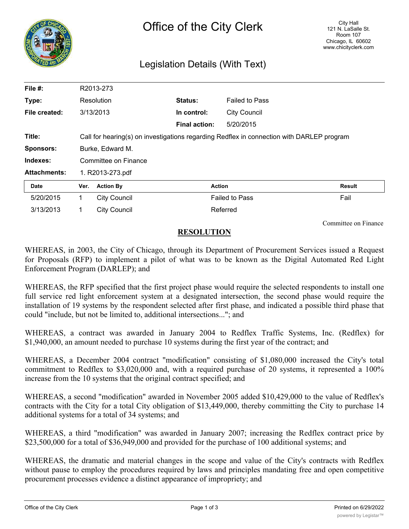

## Legislation Details (With Text)

| File #:             | R2013-273                                                                                 |                     |                      |                       |        |
|---------------------|-------------------------------------------------------------------------------------------|---------------------|----------------------|-----------------------|--------|
| Type:               |                                                                                           | Resolution          | <b>Status:</b>       | <b>Failed to Pass</b> |        |
| File created:       |                                                                                           | 3/13/2013           | In control:          | <b>City Council</b>   |        |
|                     |                                                                                           |                     | <b>Final action:</b> | 5/20/2015             |        |
| Title:              | Call for hearing(s) on investigations regarding Redflex in connection with DARLEP program |                     |                      |                       |        |
| <b>Sponsors:</b>    | Burke, Edward M.                                                                          |                     |                      |                       |        |
| Indexes:            | Committee on Finance                                                                      |                     |                      |                       |        |
| <b>Attachments:</b> | 1. R2013-273.pdf                                                                          |                     |                      |                       |        |
| Date                | Ver.                                                                                      | <b>Action By</b>    |                      | <b>Action</b>         | Result |
| 5/20/2015           | 1                                                                                         | <b>City Council</b> |                      | <b>Failed to Pass</b> | Fail   |
| 3/13/2013           | 1                                                                                         | <b>City Council</b> |                      | Referred              |        |

Committee on Finance

## **RESOLUTION**

WHEREAS, in 2003, the City of Chicago, through its Department of Procurement Services issued a Request for Proposals (RFP) to implement a pilot of what was to be known as the Digital Automated Red Light Enforcement Program (DARLEP); and

WHEREAS, the RFP specified that the first project phase would require the selected respondents to install one full service red light enforcement system at a designated intersection, the second phase would require the installation of 19 systems by the respondent selected after first phase, and indicated a possible third phase that could "include, but not be limited to, additional intersections..."; and

WHEREAS, a contract was awarded in January 2004 to Redflex Traffic Systems, Inc. (Redflex) for \$1,940,000, an amount needed to purchase 10 systems during the first year of the contract; and

WHEREAS, a December 2004 contract "modification" consisting of \$1,080,000 increased the City's total commitment to Redflex to \$3,020,000 and, with a required purchase of 20 systems, it represented a 100% increase from the 10 systems that the original contract specified; and

WHEREAS, a second "modification" awarded in November 2005 added \$10,429,000 to the value of Redflex's contracts with the City for a total City obligation of \$13,449,000, thereby committing the City to purchase 14 additional systems for a total of 34 systems; and

WHEREAS, a third "modification" was awarded in January 2007; increasing the Redflex contract price by \$23,500,000 for a total of \$36,949,000 and provided for the purchase of 100 additional systems; and

WHEREAS, the dramatic and material changes in the scope and value of the City's contracts with Redflex without pause to employ the procedures required by laws and principles mandating free and open competitive procurement processes evidence a distinct appearance of impropriety; and